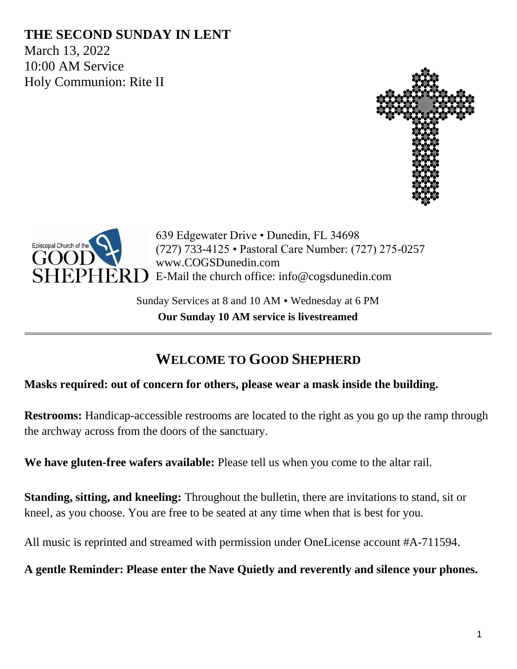## **THE SECOND SUNDAY IN LENT**

March 13, 2022 10:00 AM Service Holy Communion: Rite II





639 Edgewater Drive • Dunedin, FL 34698 (727) 733-4125 • Pastoral Care Number: (727) 275-0257 www.COGSDunedin.com E-Mail the church office: info@cogsdunedin.com

Sunday Services at 8 and 10 AM • Wednesday at 6 PM **Our Sunday 10 AM service is livestreamed**

## **WELCOME TO GOOD SHEPHERD**

#### **Masks required: out of concern for others, please wear a mask inside the building.**

**Restrooms:** Handicap-accessible restrooms are located to the right as you go up the ramp through the archway across from the doors of the sanctuary.

**We have gluten-free wafers available:** Please tell us when you come to the altar rail.

**Standing, sitting, and kneeling:** Throughout the bulletin, there are invitations to stand, sit or kneel, as you choose. You are free to be seated at any time when that is best for you.

All music is reprinted and streamed with permission under OneLicense account #A-711594.

**A gentle Reminder: Please enter the Nave Quietly and reverently and silence your phones.**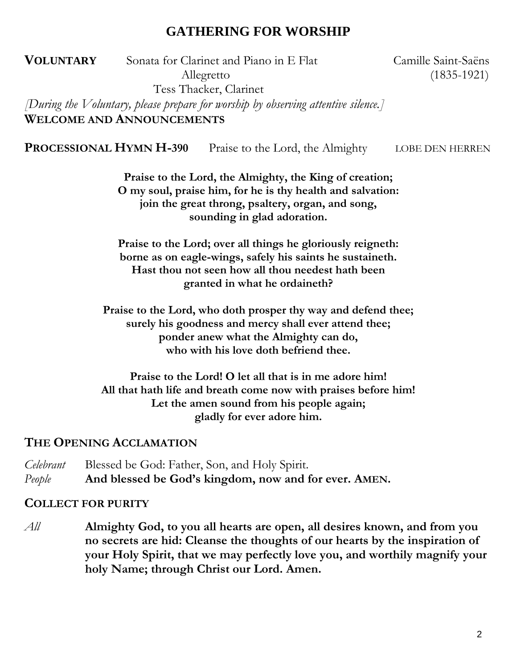## **GATHERING FOR WORSHIP**

**VOLUNTARY** Sonata for Clarinet and Piano in E Flat Camille Saint-Saëns Allegretto (1835-1921) Tess Thacker, Clarinet

*[During the Voluntary, please prepare for worship by observing attentive silence.]* **WELCOME AND ANNOUNCEMENTS**

**PROCESSIONAL HYMN H-390** Praise to the Lord, the Almighty LOBE DEN HERREN

**Praise to the Lord, the Almighty, the King of creation; O my soul, praise him, for he is thy health and salvation: join the great throng, psaltery, organ, and song, sounding in glad adoration.**

**Praise to the Lord; over all things he gloriously reigneth: borne as on eagle-wings, safely his saints he sustaineth. Hast thou not seen how all thou needest hath been granted in what he ordaineth?**

**Praise to the Lord, who doth prosper thy way and defend thee; surely his goodness and mercy shall ever attend thee; ponder anew what the Almighty can do, who with his love doth befriend thee.**

**Praise to the Lord! O let all that is in me adore him! All that hath life and breath come now with praises before him! Let the amen sound from his people again; gladly for ever adore him.**

### **THE OPENING ACCLAMATION**

*Celebrant* Blessed be God: Father, Son, and Holy Spirit. *People* **And blessed be God's kingdom, now and for ever. AMEN.**

#### **COLLECT FOR PURITY**

*All* **Almighty God, to you all hearts are open, all desires known, and from you no secrets are hid: Cleanse the thoughts of our hearts by the inspiration of your Holy Spirit, that we may perfectly love you, and worthily magnify your holy Name; through Christ our Lord. Amen.**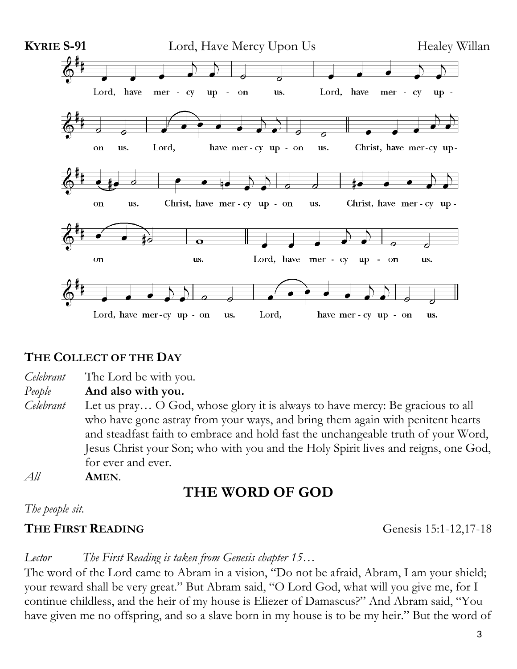

### **THE COLLECT OF THE DAY**

*Celebrant* The Lord be with you.

*People* **And also with you.**

- *Celebrant* Let us pray… O God, whose glory it is always to have mercy: Be gracious to all who have gone astray from your ways, and bring them again with penitent hearts and steadfast faith to embrace and hold fast the unchangeable truth of your Word, Jesus Christ your Son; who with you and the Holy Spirit lives and reigns, one God, for ever and ever.
- *All* **AMEN**.

# **THE WORD OF GOD**

*The people sit.*

## **THE FIRST READING** Genesis 15:1-12,17-18

### *Lector The First Reading is taken from Genesis chapter 15…*

The word of the Lord came to Abram in a vision, "Do not be afraid, Abram, I am your shield; your reward shall be very great." But Abram said, "O Lord God, what will you give me, for I continue childless, and the heir of my house is Eliezer of Damascus?" And Abram said, "You have given me no offspring, and so a slave born in my house is to be my heir." But the word of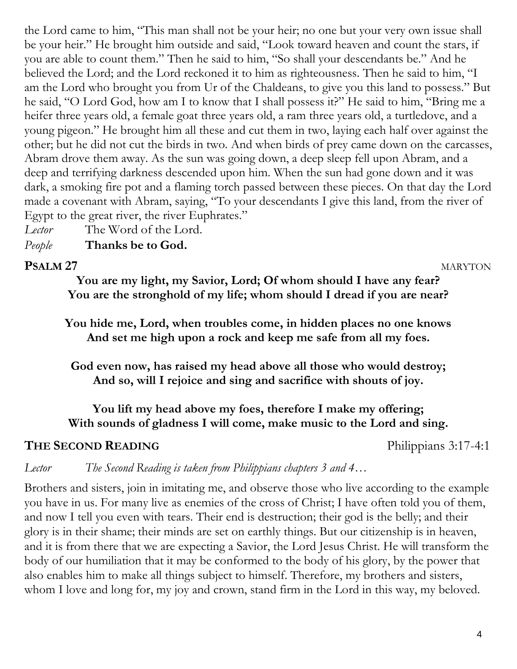the Lord came to him, "This man shall not be your heir; no one but your very own issue shall be your heir." He brought him outside and said, "Look toward heaven and count the stars, if you are able to count them." Then he said to him, "So shall your descendants be." And he believed the Lord; and the Lord reckoned it to him as righteousness. Then he said to him, "I am the Lord who brought you from Ur of the Chaldeans, to give you this land to possess." But he said, "O Lord God, how am I to know that I shall possess it?" He said to him, "Bring me a heifer three years old, a female goat three years old, a ram three years old, a turtledove, and a young pigeon." He brought him all these and cut them in two, laying each half over against the other; but he did not cut the birds in two. And when birds of prey came down on the carcasses, Abram drove them away. As the sun was going down, a deep sleep fell upon Abram, and a deep and terrifying darkness descended upon him. When the sun had gone down and it was dark, a smoking fire pot and a flaming torch passed between these pieces. On that day the Lord made a covenant with Abram, saying, "To your descendants I give this land, from the river of Egypt to the great river, the river Euphrates."

*Lector* The Word of the Lord. *People* **Thanks be to God.**

#### **PSALM 27**MARYTON

**You are my light, my Savior, Lord; Of whom should I have any fear? You are the stronghold of my life; whom should I dread if you are near?**

**You hide me, Lord, when troubles come, in hidden places no one knows And set me high upon a rock and keep me safe from all my foes.**

**God even now, has raised my head above all those who would destroy; And so, will I rejoice and sing and sacrifice with shouts of joy.**

**You lift my head above my foes, therefore I make my offering; With sounds of gladness I will come, make music to the Lord and sing.**

### **THE SECOND READING** Philippians 3:17-4:1

*Lector The Second Reading is taken from Philippians chapters 3 and 4…*

Brothers and sisters, join in imitating me, and observe those who live according to the example you have in us. For many live as enemies of the cross of Christ; I have often told you of them, and now I tell you even with tears. Their end is destruction; their god is the belly; and their glory is in their shame; their minds are set on earthly things. But our citizenship is in heaven, and it is from there that we are expecting a Savior, the Lord Jesus Christ. He will transform the body of our humiliation that it may be conformed to the body of his glory, by the power that also enables him to make all things subject to himself. Therefore, my brothers and sisters, whom I love and long for, my joy and crown, stand firm in the Lord in this way, my beloved.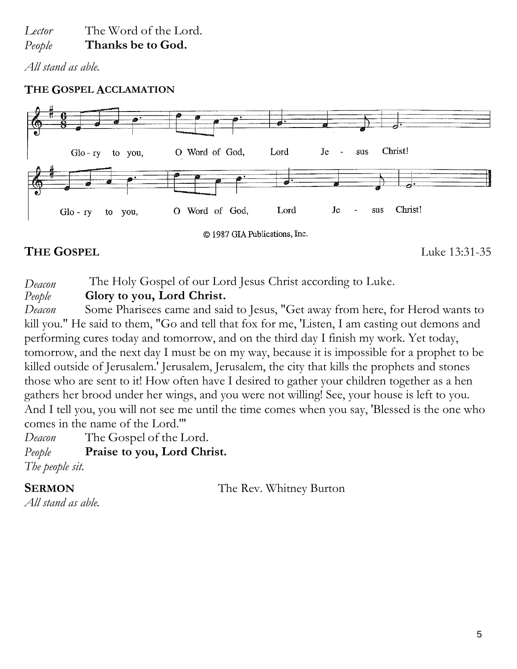*Lector* The Word of the Lord. *People* **Thanks be to God.**

*All stand as able.*

### **THE GOSPEL ACCLAMATION**



## **THE GOSPEL** Luke 13:31-35

*Deacon* The Holy Gospel of our Lord Jesus Christ according to Luke.<br>People **Glory to you, Lord Christ.** 

*People* **Glory to you, Lord Christ.**

*Deacon* Some Pharisees came and said to Jesus, "Get away from here, for Herod wants to kill you." He said to them, "Go and tell that fox for me, 'Listen, I am casting out demons and performing cures today and tomorrow, and on the third day I finish my work. Yet today, tomorrow, and the next day I must be on my way, because it is impossible for a prophet to be killed outside of Jerusalem.' Jerusalem, Jerusalem, the city that kills the prophets and stones those who are sent to it! How often have I desired to gather your children together as a hen gathers her brood under her wings, and you were not willing! See, your house is left to you. And I tell you, you will not see me until the time comes when you say, 'Blessed is the one who comes in the name of the Lord.'"

*Deacon* The Gospel of the Lord. *People* **Praise to you, Lord Christ.** *The people sit.*

**SERMON** The Rev. Whitney Burton

*All stand as able.*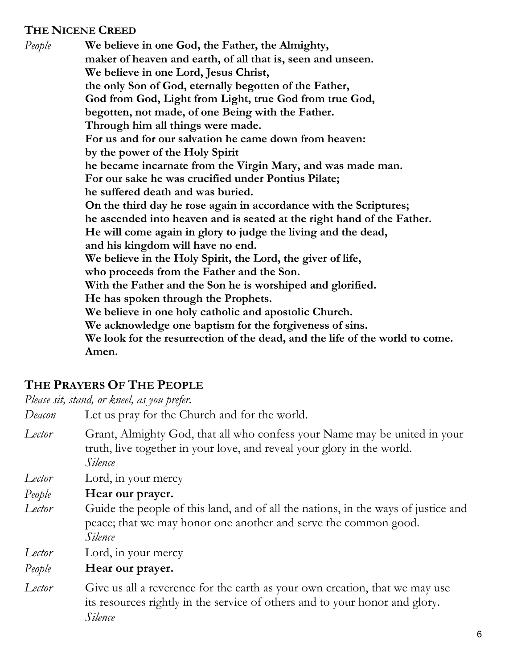### **THE NICENE CREED**

*People* **We believe in one God, the Father, the Almighty, maker of heaven and earth, of all that is, seen and unseen. We believe in one Lord, Jesus Christ, the only Son of God, eternally begotten of the Father, God from God, Light from Light, true God from true God, begotten, not made, of one Being with the Father. Through him all things were made. For us and for our salvation he came down from heaven: by the power of the Holy Spirit he became incarnate from the Virgin Mary, and was made man. For our sake he was crucified under Pontius Pilate; he suffered death and was buried. On the third day he rose again in accordance with the Scriptures; he ascended into heaven and is seated at the right hand of the Father. He will come again in glory to judge the living and the dead, and his kingdom will have no end. We believe in the Holy Spirit, the Lord, the giver of life, who proceeds from the Father and the Son. With the Father and the Son he is worshiped and glorified. He has spoken through the Prophets. We believe in one holy catholic and apostolic Church. We acknowledge one baptism for the forgiveness of sins. We look for the resurrection of the dead, and the life of the world to come. Amen.**

## **THE PRAYERS OF THE PEOPLE**

*Please sit, stand, or kneel, as you prefer.*

- *Deacon* Let us pray for the Church and for the world.
- *Lector* Grant, Almighty God, that all who confess your Name may be united in your truth, live together in your love, and reveal your glory in the world. *Silence*
- *Lector* Lord, in your mercy
- *People* **Hear our prayer.**
- *Lector* Guide the people of this land, and of all the nations, in the ways of justice and peace; that we may honor one another and serve the common good. *Silence*
- *Lector* Lord, in your mercy

### *People* **Hear our prayer.**

*Lector* Give us all a reverence for the earth as your own creation, that we may use its resources rightly in the service of others and to your honor and glory. *Silence*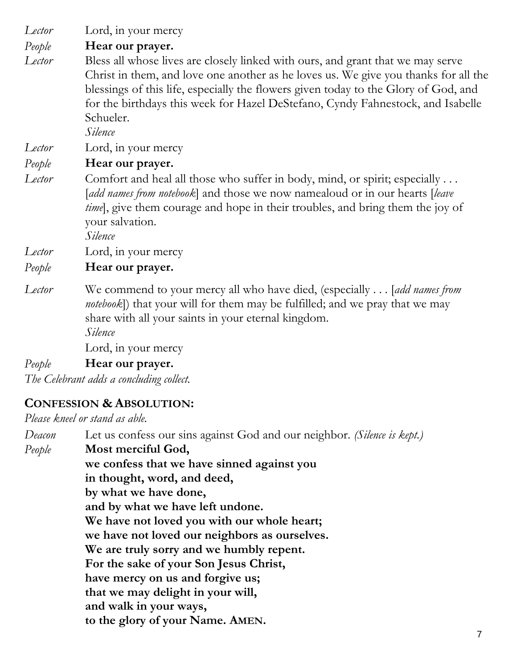*Lector* Lord, in your mercy

*People* **Hear our prayer.**

*Lector* Bless all whose lives are closely linked with ours, and grant that we may serve Christ in them, and love one another as he loves us. We give you thanks for all the blessings of this life, especially the flowers given today to the Glory of God, and for the birthdays this week for Hazel DeStefano, Cyndy Fahnestock, and Isabelle Schueler.

*Silence*

*Lector* Lord, in your mercy

*People* **Hear our prayer.**

*Lector* Comfort and heal all those who suffer in body, mind, or spirit; especially ... [*add names from notebook*] and those we now namealoud or in our hearts [*leave time*, give them courage and hope in their troubles, and bring them the joy of your salvation.

*Silence*

*Lector* Lord, in your mercy

*People* **Hear our prayer.**

*Lector* We commend to your mercy all who have died, (especially . . . [*add names from notebook*]) that your will for them may be fulfilled; and we pray that we may share with all your saints in your eternal kingdom. *Silence*

Lord, in your mercy

*People* **Hear our prayer.**

*The Celebrant adds a concluding collect.* 

## **CONFESSION & ABSOLUTION:**

*Please kneel or stand as able.*

*Deacon* Let us confess our sins against God and our neighbor. *(Silence is kept.) People* **Most merciful God, we confess that we have sinned against you in thought, word, and deed, by what we have done, and by what we have left undone. We have not loved you with our whole heart; we have not loved our neighbors as ourselves. We are truly sorry and we humbly repent. For the sake of your Son Jesus Christ, have mercy on us and forgive us; that we may delight in your will, and walk in your ways, to the glory of your Name. AMEN.**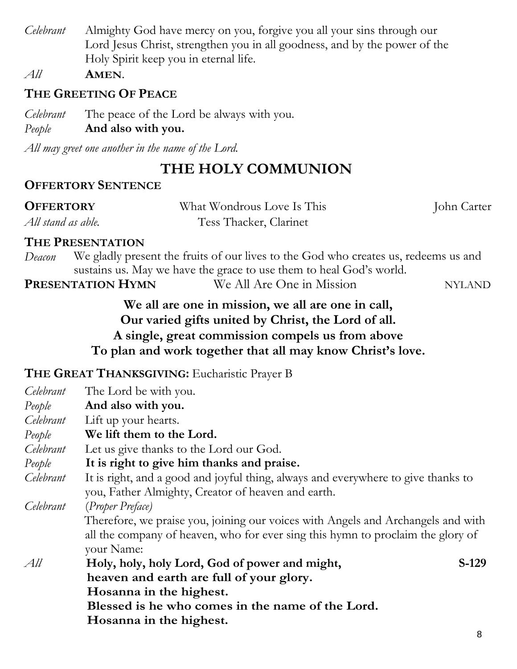*Celebrant* Almighty God have mercy on you, forgive you all your sins through our Lord Jesus Christ, strengthen you in all goodness, and by the power of the Holy Spirit keep you in eternal life.

*All* **AMEN**.

## **THE GREETING OF PEACE**

*Celebrant* The peace of the Lord be always with you.

## *People* **And also with you.**

*All may greet one another in the name of the Lord.*

# **THE HOLY COMMUNION**

## **OFFERTORY SENTENCE**

| <b>OFFERTORY</b>   | What Wondrous Love Is This | John Carter |
|--------------------|----------------------------|-------------|
| All stand as able. | Tess Thacker, Clarinet     |             |

### **THE PRESENTATION**

**PRESENTATION HYMN** We All Are One in Mission NYLAND

**We all are one in mission, we all are one in call, Our varied gifts united by Christ, the Lord of all. A single, great commission compels us from above To plan and work together that all may know Christ's love.** 

## **THE GREAT THANKSGIVING:** Eucharistic Prayer B

| Celebrant                                                                        | The Lord be with you.                                                             |  |  |
|----------------------------------------------------------------------------------|-----------------------------------------------------------------------------------|--|--|
| People                                                                           | And also with you.                                                                |  |  |
| Celebrant                                                                        | Lift up your hearts.                                                              |  |  |
| People                                                                           | We lift them to the Lord.                                                         |  |  |
| Celebrant                                                                        | Let us give thanks to the Lord our God.                                           |  |  |
| People                                                                           | It is right to give him thanks and praise.                                        |  |  |
| Celebrant                                                                        | It is right, and a good and joyful thing, always and everywhere to give thanks to |  |  |
|                                                                                  | you, Father Almighty, Creator of heaven and earth.                                |  |  |
| Celebrant                                                                        | (Proper Preface)                                                                  |  |  |
| Therefore, we praise you, joining our voices with Angels and Archangels and with |                                                                                   |  |  |
|                                                                                  | all the company of heaven, who for ever sing this hymn to proclaim the glory of   |  |  |
|                                                                                  | your Name:                                                                        |  |  |
| All                                                                              | S-129<br>Holy, holy, holy Lord, God of power and might,                           |  |  |
|                                                                                  | heaven and earth are full of your glory.                                          |  |  |
|                                                                                  | Hosanna in the highest.                                                           |  |  |
|                                                                                  | Blessed is he who comes in the name of the Lord.                                  |  |  |
|                                                                                  | Hosanna in the highest.                                                           |  |  |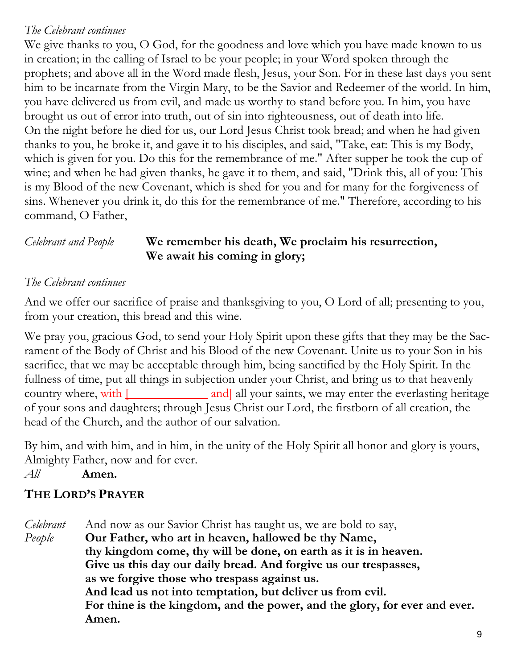### *The Celebrant continues*

We give thanks to you, O God, for the goodness and love which you have made known to us in creation; in the calling of Israel to be your people; in your Word spoken through the prophets; and above all in the Word made flesh, Jesus, your Son. For in these last days you sent him to be incarnate from the Virgin Mary, to be the Savior and Redeemer of the world. In him, you have delivered us from evil, and made us worthy to stand before you. In him, you have brought us out of error into truth, out of sin into righteousness, out of death into life. On the night before he died for us, our Lord Jesus Christ took bread; and when he had given thanks to you, he broke it, and gave it to his disciples, and said, "Take, eat: This is my Body, which is given for you. Do this for the remembrance of me." After supper he took the cup of wine; and when he had given thanks, he gave it to them, and said, "Drink this, all of you: This is my Blood of the new Covenant, which is shed for you and for many for the forgiveness of sins. Whenever you drink it, do this for the remembrance of me." Therefore, according to his command, O Father,

### *Celebrant and People* **We remember his death, We proclaim his resurrection, We await his coming in glory;**

### *The Celebrant continues*

And we offer our sacrifice of praise and thanksgiving to you, O Lord of all; presenting to you, from your creation, this bread and this wine.

We pray you, gracious God, to send your Holy Spirit upon these gifts that they may be the Sacrament of the Body of Christ and his Blood of the new Covenant. Unite us to your Son in his sacrifice, that we may be acceptable through him, being sanctified by the Holy Spirit. In the fullness of time, put all things in subjection under your Christ, and bring us to that heavenly country where, with  $\Box$  and all your saints, we may enter the everlasting heritage of your sons and daughters; through Jesus Christ our Lord, the firstborn of all creation, the head of the Church, and the author of our salvation.

By him, and with him, and in him, in the unity of the Holy Spirit all honor and glory is yours, Almighty Father, now and for ever.

*All* **Amen.** 

## **THE LORD'S PRAYER**

*Celebrant* And now as our Savior Christ has taught us, we are bold to say, *People* **Our Father, who art in heaven, hallowed be thy Name, thy kingdom come, thy will be done, on earth as it is in heaven. Give us this day our daily bread. And forgive us our trespasses, as we forgive those who trespass against us. And lead us not into temptation, but deliver us from evil. For thine is the kingdom, and the power, and the glory, for ever and ever. Amen.**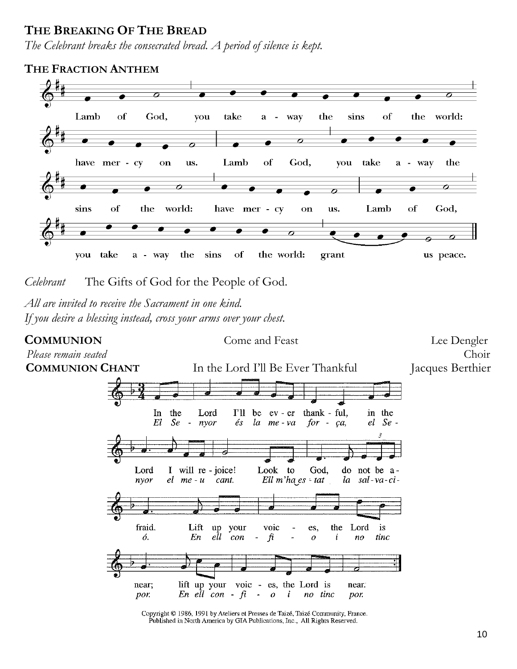### **THE BREAKING OF THE BREAD**

*The Celebrant breaks the consecrated bread. A period of silence is kept.*



*Celebrant* The Gifts of God for the People of God.

*All are invited to receive the Sacrament in one kind. If you desire a blessing instead, cross your arms over your chest.*

**COMMUNION** Come and Feast Lee Dengler



Copyright © 1986, 1991 by Ateliers et Presses de Taizé, Taizé Community, France. Published in North America by GIA Publications, Inc., All Rights Reserved.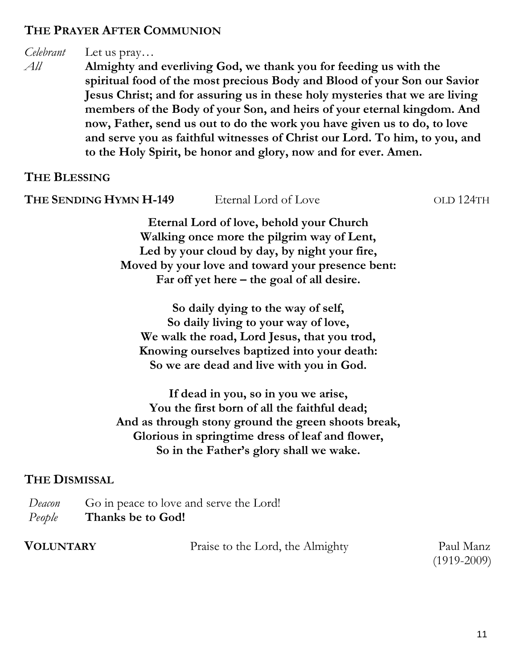### **THE PRAYER AFTER COMMUNION**

### *Celebrant* Let us pray…

*All* **Almighty and everliving God, we thank you for feeding us with the spiritual food of the most precious Body and Blood of your Son our Savior Jesus Christ; and for assuring us in these holy mysteries that we are living members of the Body of your Son, and heirs of your eternal kingdom. And now, Father, send us out to do the work you have given us to do, to love and serve you as faithful witnesses of Christ our Lord. To him, to you, and to the Holy Spirit, be honor and glory, now and for ever. Amen.**

### **THE BLESSING**

| THE SENDING HYMN H-149 | Eternal Lord of Love                              | OLD 124TH |
|------------------------|---------------------------------------------------|-----------|
|                        | Eternal Lord of love, behold your Church          |           |
|                        | Walking once more the pilgrim way of Lent,        |           |
|                        | Led by your cloud by day, by night your fire,     |           |
|                        | Moved by your love and toward your presence bent: |           |
|                        | Far off yet here $-$ the goal of all desire.      |           |
|                        | So daily dying to the way of self,                |           |
|                        | So daily living to your way of love,              |           |
|                        | We walk the road, Lord Jesus, that you trod,      |           |
|                        |                                                   |           |

**Knowing ourselves baptized into your death: So we are dead and live with you in God.**

**If dead in you, so in you we arise, You the first born of all the faithful dead; And as through stony ground the green shoots break, Glorious in springtime dress of leaf and flower, So in the Father's glory shall we wake.**

### **THE DISMISSAL**

| Deacon | Go in peace to love and serve the Lord! |
|--------|-----------------------------------------|
| People | Thanks be to God!                       |

| <b>VOLUNTARY</b> | Praise to the Lord, the Almighty | Paul Manz     |
|------------------|----------------------------------|---------------|
|                  |                                  | $(1919-2009)$ |